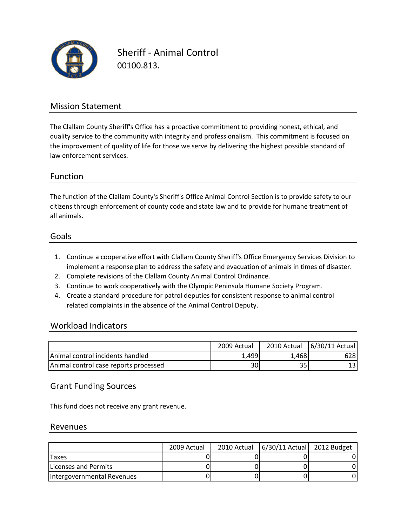

Sheriff ‐ Animal Control 00100.813.

### Mission Statement

The Clallam County Sheriff's Office has a proactive commitment to providing honest, ethical, and quality service to the community with integrity and professionalism. This commitment is focused on the improvement of quality of life for those we serve by delivering the highest possible standard of law enforcement services.

#### Function

all animals. citizens through enforcement of county code and state law and to provide for humane treatment of The function of the Clallam County's Sheriff's Office Animal Control Section is to provide safety to our

#### Goals

- 1. Continue a cooperative effort with Clallam County Sheriff's Office Emergency Services Division to implement a response plan to address the safety and evacuation of animals in times of disaster.
- 2. Complete revisions of the Clallam County Animal Control Ordinance.
- 3. Continue to work cooperatively with the Olympic Peninsula Humane Society Program.
- 4. Create a standard procedure for patrol deputies for consistent response to animal control related complaints in the absence of the Animal Control Deputy.

#### Workload Indicators

|                                          | 2009 Actual | 2010 Actual | 6/30/11 Actual |
|------------------------------------------|-------------|-------------|----------------|
| <b>IAnimal control incidents handled</b> | 1.499       | L.4681      | 628            |
| Animal control case reports processed    | 30          | 35          |                |

#### Grant Funding Sources

This fund does not receive any grant revenue.

#### Revenues

|                            | 2009 Actual | 2010 Actual | $6/30/11$ Actual 2012 Budget |  |
|----------------------------|-------------|-------------|------------------------------|--|
| Taxes                      |             |             |                              |  |
| Licenses and Permits       |             |             |                              |  |
| Intergovernmental Revenues |             |             |                              |  |